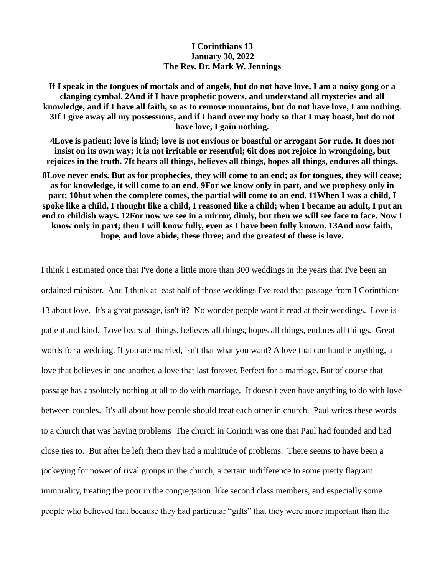## **I Corinthians 13 January 30, 2022 The Rev. Dr. Mark W. Jennings**

**If I speak in the tongues of mortals and of angels, but do not have love, I am a noisy gong or a clanging cymbal. 2And if I have prophetic powers, and understand all mysteries and all knowledge, and if I have all faith, so as to remove mountains, but do not have love, I am nothing. 3If I give away all my possessions, and if I hand over my body so that I may boast, but do not have love, I gain nothing.** 

**4Love is patient; love is kind; love is not envious or boastful or arrogant 5or rude. It does not insist on its own way; it is not irritable or resentful; 6it does not rejoice in wrongdoing, but rejoices in the truth. 7It bears all things, believes all things, hopes all things, endures all things.** 

**8Love never ends. But as for prophecies, they will come to an end; as for tongues, they will cease; as for knowledge, it will come to an end. 9For we know only in part, and we prophesy only in part; 10but when the complete comes, the partial will come to an end. 11When I was a child, I spoke like a child, I thought like a child, I reasoned like a child; when I became an adult, I put an end to childish ways. 12For now we see in a mirror, dimly, but then we will see face to face. Now I know only in part; then I will know fully, even as I have been fully known. 13And now faith, hope, and love abide, these three; and the greatest of these is love.** 

I think I estimated once that I've done a little more than 300 weddings in the years that I've been an ordained minister. And I think at least half of those weddings I've read that passage from I Corinthians 13 about love. It's a great passage, isn't it? No wonder people want it read at their weddings. Love is patient and kind. Love bears all things, believes all things, hopes all things, endures all things. Great words for a wedding. If you are married, isn't that what you want? A love that can handle anything, a love that believes in one another, a love that last forever. Perfect for a marriage. But of course that passage has absolutely nothing at all to do with marriage. It doesn't even have anything to do with love between couples. It's all about how people should treat each other in church. Paul writes these words to a church that was having problems The church in Corinth was one that Paul had founded and had close ties to. But after he left them they had a multitude of problems. There seems to have been a jockeying for power of rival groups in the church, a certain indifference to some pretty flagrant immorality, treating the poor in the congregation like second class members, and especially some people who believed that because they had particular "gifts" that they were more important than the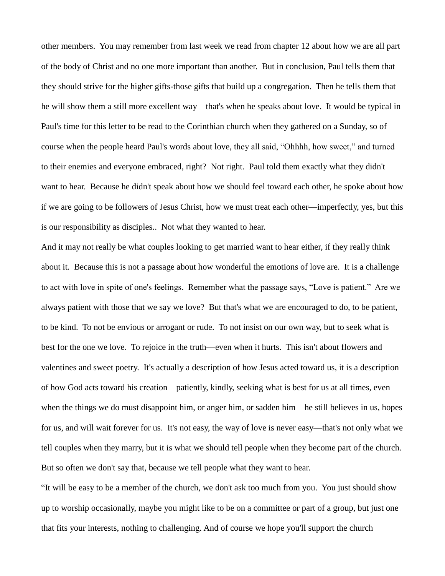other members. You may remember from last week we read from chapter 12 about how we are all part of the body of Christ and no one more important than another. But in conclusion, Paul tells them that they should strive for the higher gifts-those gifts that build up a congregation. Then he tells them that he will show them a still more excellent way—that's when he speaks about love. It would be typical in Paul's time for this letter to be read to the Corinthian church when they gathered on a Sunday, so of course when the people heard Paul's words about love, they all said, "Ohhhh, how sweet," and turned to their enemies and everyone embraced, right? Not right. Paul told them exactly what they didn't want to hear. Because he didn't speak about how we should feel toward each other, he spoke about how if we are going to be followers of Jesus Christ, how we must treat each other—imperfectly, yes, but this is our responsibility as disciples.. Not what they wanted to hear.

And it may not really be what couples looking to get married want to hear either, if they really think about it. Because this is not a passage about how wonderful the emotions of love are. It is a challenge to act with love in spite of one's feelings. Remember what the passage says, "Love is patient." Are we always patient with those that we say we love? But that's what we are encouraged to do, to be patient, to be kind. To not be envious or arrogant or rude. To not insist on our own way, but to seek what is best for the one we love. To rejoice in the truth—even when it hurts. This isn't about flowers and valentines and sweet poetry. It's actually a description of how Jesus acted toward us, it is a description of how God acts toward his creation—patiently, kindly, seeking what is best for us at all times, even when the things we do must disappoint him, or anger him, or sadden him—he still believes in us, hopes for us, and will wait forever for us. It's not easy, the way of love is never easy—that's not only what we tell couples when they marry, but it is what we should tell people when they become part of the church. But so often we don't say that, because we tell people what they want to hear.

"It will be easy to be a member of the church, we don't ask too much from you. You just should show up to worship occasionally, maybe you might like to be on a committee or part of a group, but just one that fits your interests, nothing to challenging. And of course we hope you'll support the church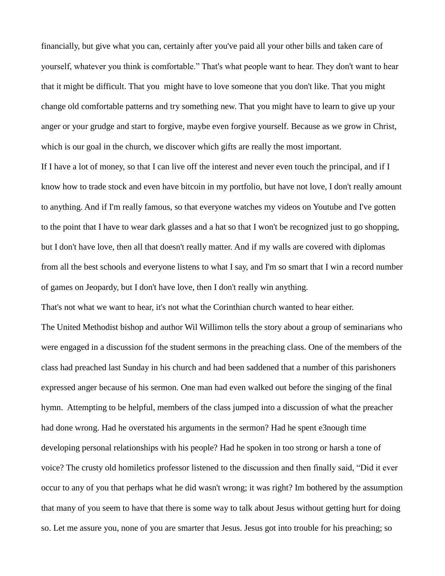financially, but give what you can, certainly after you've paid all your other bills and taken care of yourself, whatever you think is comfortable." That's what people want to hear. They don't want to hear that it might be difficult. That you might have to love someone that you don't like. That you might change old comfortable patterns and try something new. That you might have to learn to give up your anger or your grudge and start to forgive, maybe even forgive yourself. Because as we grow in Christ, which is our goal in the church, we discover which gifts are really the most important.

If I have a lot of money, so that I can live off the interest and never even touch the principal, and if I know how to trade stock and even have bitcoin in my portfolio, but have not love, I don't really amount to anything. And if I'm really famous, so that everyone watches my videos on Youtube and I've gotten to the point that I have to wear dark glasses and a hat so that I won't be recognized just to go shopping, but I don't have love, then all that doesn't really matter. And if my walls are covered with diplomas from all the best schools and everyone listens to what I say, and I'm so smart that I win a record number of games on Jeopardy, but I don't have love, then I don't really win anything.

That's not what we want to hear, it's not what the Corinthian church wanted to hear either.

The United Methodist bishop and author Wil Willimon tells the story about a group of seminarians who were engaged in a discussion fof the student sermons in the preaching class. One of the members of the class had preached last Sunday in his church and had been saddened that a number of this parishoners expressed anger because of his sermon. One man had even walked out before the singing of the final hymn. Attempting to be helpful, members of the class jumped into a discussion of what the preacher had done wrong. Had he overstated his arguments in the sermon? Had he spent e3nough time developing personal relationships with his people? Had he spoken in too strong or harsh a tone of voice? The crusty old homiletics professor listened to the discussion and then finally said, "Did it ever occur to any of you that perhaps what he did wasn't wrong; it was right? Im bothered by the assumption that many of you seem to have that there is some way to talk about Jesus without getting hurt for doing so. Let me assure you, none of you are smarter that Jesus. Jesus got into trouble for his preaching; so